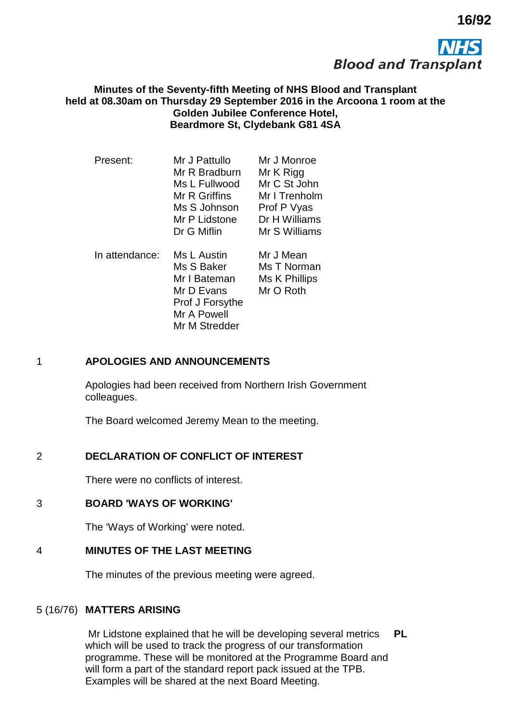

**16/92**

### **Minutes of the Seventy-fifth Meeting of NHS Blood and Transplant held at 08.30am on Thursday 29 September 2016 in the Arcoona 1 room at the Golden Jubilee Conference Hotel, Beardmore St, Clydebank G81 4SA**

| Present:       | Mr J Pattullo   | Mr J Monroe   |
|----------------|-----------------|---------------|
|                | Mr R Bradburn   | Mr K Rigg     |
|                | Ms L Fullwood   | Mr C St John  |
|                | Mr R Griffins   | Mr I Trenholm |
|                | Ms S Johnson    | Prof P Vyas   |
|                | Mr P Lidstone   | Dr H Williams |
|                | Dr G Miflin     | Mr S Williams |
| In attendance: | Ms L Austin     | Mr J Mean     |
|                | Ms S Baker      | Ms T Norman   |
|                | Mr I Bateman    | Ms K Phillips |
|                | Mr D Evans      | Mr O Roth     |
|                | Prof J Forsythe |               |
|                | Mr A Powell     |               |
|                | Mr M Stredder   |               |

# 1 **APOLOGIES AND ANNOUNCEMENTS**

Apologies had been received from Northern Irish Government colleagues.

The Board welcomed Jeremy Mean to the meeting.

# 2 **DECLARATION OF CONFLICT OF INTEREST**

There were no conflicts of interest.

#### 3 **BOARD 'WAYS OF WORKING'**

The 'Ways of Working' were noted.

### 4 **MINUTES OF THE LAST MEETING**

The minutes of the previous meeting were agreed.

#### 5 (16/76) **MATTERS ARISING**

Mr Lidstone explained that he will be developing several metrics which will be used to track the progress of our transformation programme. These will be monitored at the Programme Board and will form a part of the standard report pack issued at the TPB. Examples will be shared at the next Board Meeting. **PL**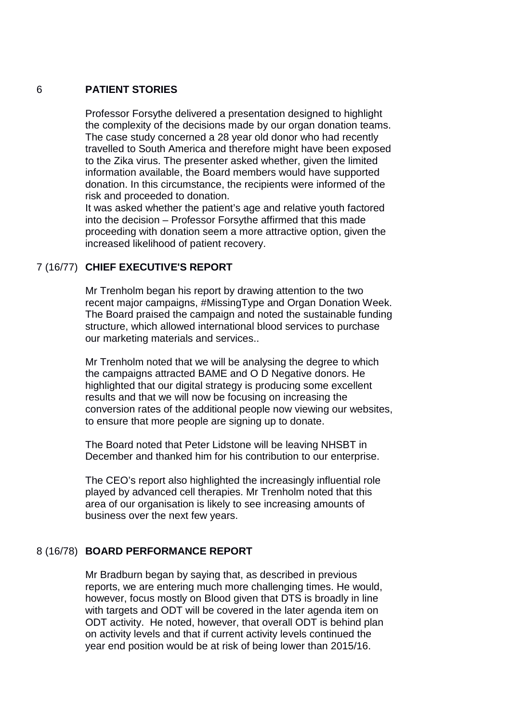#### 6 **PATIENT STORIES**

Professor Forsythe delivered a presentation designed to highlight the complexity of the decisions made by our organ donation teams. The case study concerned a 28 year old donor who had recently travelled to South America and therefore might have been exposed to the Zika virus. The presenter asked whether, given the limited information available, the Board members would have supported donation. In this circumstance, the recipients were informed of the risk and proceeded to donation.

It was asked whether the patient's age and relative youth factored into the decision – Professor Forsythe affirmed that this made proceeding with donation seem a more attractive option, given the increased likelihood of patient recovery.

## 7 (16/77) **CHIEF EXECUTIVE'S REPORT**

Mr Trenholm began his report by drawing attention to the two recent major campaigns, #MissingType and Organ Donation Week. The Board praised the campaign and noted the sustainable funding structure, which allowed international blood services to purchase our marketing materials and services..

Mr Trenholm noted that we will be analysing the degree to which the campaigns attracted BAME and O D Negative donors. He highlighted that our digital strategy is producing some excellent results and that we will now be focusing on increasing the conversion rates of the additional people now viewing our websites, to ensure that more people are signing up to donate.

The Board noted that Peter Lidstone will be leaving NHSBT in December and thanked him for his contribution to our enterprise.

The CEO's report also highlighted the increasingly influential role played by advanced cell therapies. Mr Trenholm noted that this area of our organisation is likely to see increasing amounts of business over the next few years.

### 8 (16/78) **BOARD PERFORMANCE REPORT**

Mr Bradburn began by saying that, as described in previous reports, we are entering much more challenging times. He would, however, focus mostly on Blood given that DTS is broadly in line with targets and ODT will be covered in the later agenda item on ODT activity. He noted, however, that overall ODT is behind plan on activity levels and that if current activity levels continued the year end position would be at risk of being lower than 2015/16.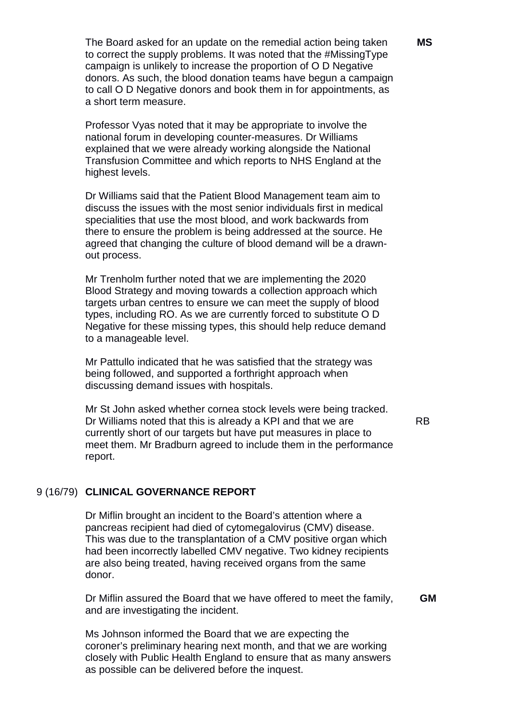The Board asked for an update on the remedial action being taken to correct the supply problems. It was noted that the #MissingType campaign is unlikely to increase the proportion of O D Negative donors. As such, the blood donation teams have begun a campaign to call O D Negative donors and book them in for appointments, as a short term measure.

Professor Vyas noted that it may be appropriate to involve the national forum in developing counter-measures. Dr Williams explained that we were already working alongside the National Transfusion Committee and which reports to NHS England at the highest levels.

Dr Williams said that the Patient Blood Management team aim to discuss the issues with the most senior individuals first in medical specialities that use the most blood, and work backwards from there to ensure the problem is being addressed at the source. He agreed that changing the culture of blood demand will be a drawnout process.

Mr Trenholm further noted that we are implementing the 2020 Blood Strategy and moving towards a collection approach which targets urban centres to ensure we can meet the supply of blood types, including RO. As we are currently forced to substitute O D Negative for these missing types, this should help reduce demand to a manageable level.

Mr Pattullo indicated that he was satisfied that the strategy was being followed, and supported a forthright approach when discussing demand issues with hospitals.

Mr St John asked whether cornea stock levels were being tracked. Dr Williams noted that this is already a KPI and that we are currently short of our targets but have put measures in place to meet them. Mr Bradburn agreed to include them in the performance report.

RB

#### 9 (16/79) **CLINICAL GOVERNANCE REPORT**

Dr Miflin brought an incident to the Board's attention where a pancreas recipient had died of cytomegalovirus (CMV) disease. This was due to the transplantation of a CMV positive organ which had been incorrectly labelled CMV negative. Two kidney recipients are also being treated, having received organs from the same donor.

Dr Miflin assured the Board that we have offered to meet the family, and are investigating the incident.  **GM**

Ms Johnson informed the Board that we are expecting the coroner's preliminary hearing next month, and that we are working closely with Public Health England to ensure that as many answers as possible can be delivered before the inquest.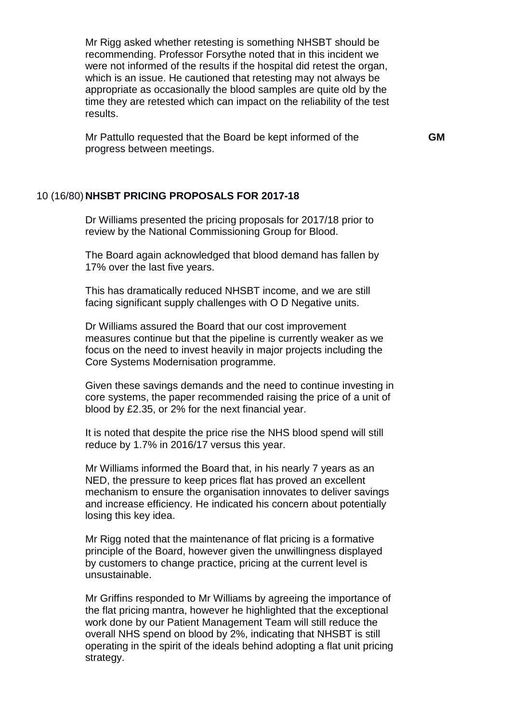Mr Rigg asked whether retesting is something NHSBT should be recommending. Professor Forsythe noted that in this incident we were not informed of the results if the hospital did retest the organ, which is an issue. He cautioned that retesting may not always be appropriate as occasionally the blood samples are quite old by the time they are retested which can impact on the reliability of the test results.

Mr Pattullo requested that the Board be kept informed of the progress between meetings.

 **GM**

### 10 (16/80) **NHSBT PRICING PROPOSALS FOR 2017-18**

Dr Williams presented the pricing proposals for 2017/18 prior to review by the National Commissioning Group for Blood.

The Board again acknowledged that blood demand has fallen by 17% over the last five years.

This has dramatically reduced NHSBT income, and we are still facing significant supply challenges with O D Negative units.

Dr Williams assured the Board that our cost improvement measures continue but that the pipeline is currently weaker as we focus on the need to invest heavily in major projects including the Core Systems Modernisation programme.

Given these savings demands and the need to continue investing in core systems, the paper recommended raising the price of a unit of blood by £2.35, or 2% for the next financial year.

It is noted that despite the price rise the NHS blood spend will still reduce by 1.7% in 2016/17 versus this year.

Mr Williams informed the Board that, in his nearly 7 years as an NED, the pressure to keep prices flat has proved an excellent mechanism to ensure the organisation innovates to deliver savings and increase efficiency. He indicated his concern about potentially losing this key idea.

Mr Rigg noted that the maintenance of flat pricing is a formative principle of the Board, however given the unwillingness displayed by customers to change practice, pricing at the current level is unsustainable.

Mr Griffins responded to Mr Williams by agreeing the importance of the flat pricing mantra, however he highlighted that the exceptional work done by our Patient Management Team will still reduce the overall NHS spend on blood by 2%, indicating that NHSBT is still operating in the spirit of the ideals behind adopting a flat unit pricing strategy.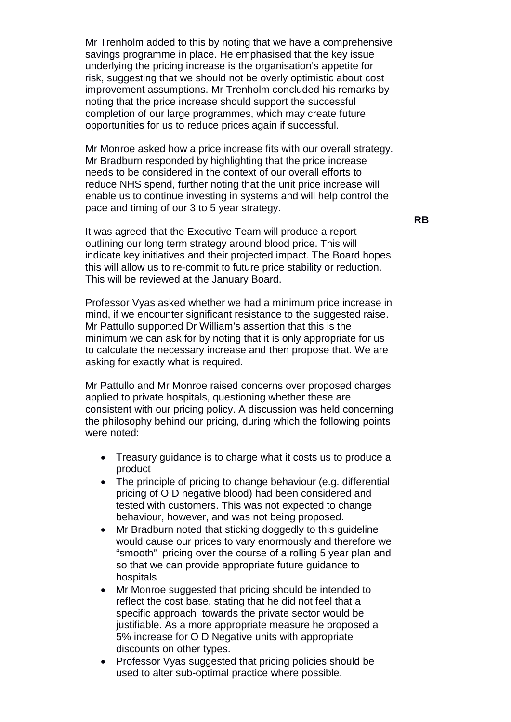Mr Trenholm added to this by noting that we have a comprehensive savings programme in place. He emphasised that the key issue underlying the pricing increase is the organisation's appetite for risk, suggesting that we should not be overly optimistic about cost improvement assumptions. Mr Trenholm concluded his remarks by noting that the price increase should support the successful completion of our large programmes, which may create future opportunities for us to reduce prices again if successful.

Mr Monroe asked how a price increase fits with our overall strategy. Mr Bradburn responded by highlighting that the price increase needs to be considered in the context of our overall efforts to reduce NHS spend, further noting that the unit price increase will enable us to continue investing in systems and will help control the pace and timing of our 3 to 5 year strategy.

It was agreed that the Executive Team will produce a report outlining our long term strategy around blood price. This will indicate key initiatives and their projected impact. The Board hopes this will allow us to re-commit to future price stability or reduction. This will be reviewed at the January Board.

Professor Vyas asked whether we had a minimum price increase in mind, if we encounter significant resistance to the suggested raise. Mr Pattullo supported Dr William's assertion that this is the minimum we can ask for by noting that it is only appropriate for us to calculate the necessary increase and then propose that. We are asking for exactly what is required.

Mr Pattullo and Mr Monroe raised concerns over proposed charges applied to private hospitals, questioning whether these are consistent with our pricing policy. A discussion was held concerning the philosophy behind our pricing, during which the following points were noted:

- Treasury guidance is to charge what it costs us to produce a product
- The principle of pricing to change behaviour (e.g. differential pricing of O D negative blood) had been considered and tested with customers. This was not expected to change behaviour, however, and was not being proposed.
- Mr Bradburn noted that sticking doggedly to this guideline would cause our prices to vary enormously and therefore we "smooth" pricing over the course of a rolling 5 year plan and so that we can provide appropriate future guidance to hospitals
- Mr Monroe suggested that pricing should be intended to reflect the cost base, stating that he did not feel that a specific approach towards the private sector would be justifiable. As a more appropriate measure he proposed a 5% increase for O D Negative units with appropriate discounts on other types.
- Professor Vyas suggested that pricing policies should be used to alter sub-optimal practice where possible.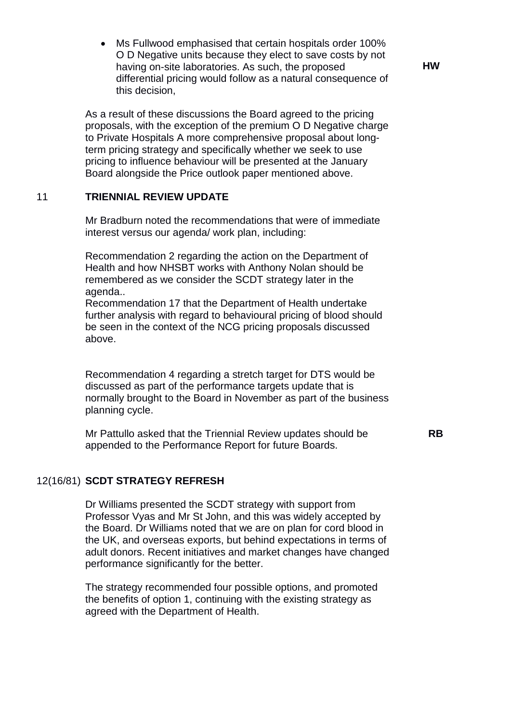• Ms Fullwood emphasised that certain hospitals order 100% O D Negative units because they elect to save costs by not having on-site laboratories. As such, the proposed differential pricing would follow as a natural consequence of this decision,

As a result of these discussions the Board agreed to the pricing proposals, with the exception of the premium O D Negative charge to Private Hospitals A more comprehensive proposal about longterm pricing strategy and specifically whether we seek to use pricing to influence behaviour will be presented at the January Board alongside the Price outlook paper mentioned above.

# 11 **TRIENNIAL REVIEW UPDATE**

Mr Bradburn noted the recommendations that were of immediate interest versus our agenda/ work plan, including:

Recommendation 2 regarding the action on the Department of Health and how NHSBT works with Anthony Nolan should be remembered as we consider the SCDT strategy later in the agenda..

Recommendation 17 that the Department of Health undertake further analysis with regard to behavioural pricing of blood should be seen in the context of the NCG pricing proposals discussed above.

Recommendation 4 regarding a stretch target for DTS would be discussed as part of the performance targets update that is normally brought to the Board in November as part of the business planning cycle.

Mr Pattullo asked that the Triennial Review updates should be appended to the Performance Report for future Boards.

 **RB**

#### 12(16/81) **SCDT STRATEGY REFRESH**

Dr Williams presented the SCDT strategy with support from Professor Vyas and Mr St John, and this was widely accepted by the Board. Dr Williams noted that we are on plan for cord blood in the UK, and overseas exports, but behind expectations in terms of adult donors. Recent initiatives and market changes have changed performance significantly for the better.

The strategy recommended four possible options, and promoted the benefits of option 1, continuing with the existing strategy as agreed with the Department of Health.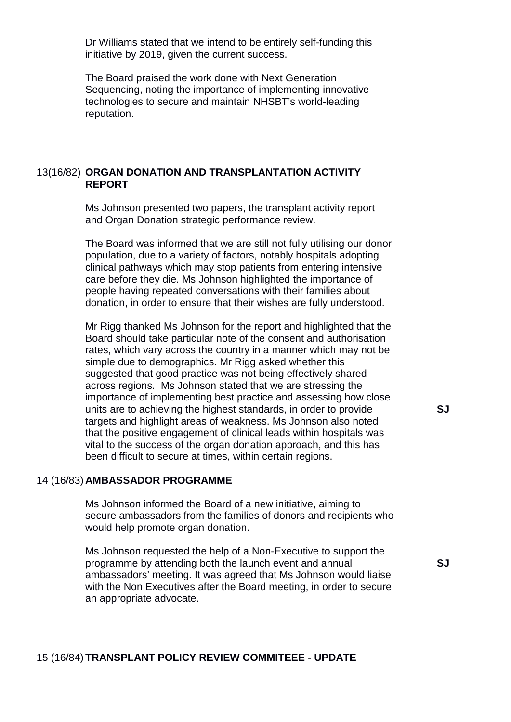Dr Williams stated that we intend to be entirely self-funding this initiative by 2019, given the current success.

The Board praised the work done with Next Generation Sequencing, noting the importance of implementing innovative technologies to secure and maintain NHSBT's world-leading reputation.

### 13(16/82) **ORGAN DONATION AND TRANSPLANTATION ACTIVITY REPORT**

Ms Johnson presented two papers, the transplant activity report and Organ Donation strategic performance review.

The Board was informed that we are still not fully utilising our donor population, due to a variety of factors, notably hospitals adopting clinical pathways which may stop patients from entering intensive care before they die. Ms Johnson highlighted the importance of people having repeated conversations with their families about donation, in order to ensure that their wishes are fully understood.

Mr Rigg thanked Ms Johnson for the report and highlighted that the Board should take particular note of the consent and authorisation rates, which vary across the country in a manner which may not be simple due to demographics. Mr Rigg asked whether this suggested that good practice was not being effectively shared across regions. Ms Johnson stated that we are stressing the importance of implementing best practice and assessing how close units are to achieving the highest standards, in order to provide targets and highlight areas of weakness. Ms Johnson also noted that the positive engagement of clinical leads within hospitals was vital to the success of the organ donation approach, and this has been difficult to secure at times, within certain regions.

#### 14 (16/83) **AMBASSADOR PROGRAMME**

Ms Johnson informed the Board of a new initiative, aiming to secure ambassadors from the families of donors and recipients who would help promote organ donation.

Ms Johnson requested the help of a Non-Executive to support the programme by attending both the launch event and annual ambassadors' meeting. It was agreed that Ms Johnson would liaise with the Non Executives after the Board meeting, in order to secure an appropriate advocate.

 **SJ**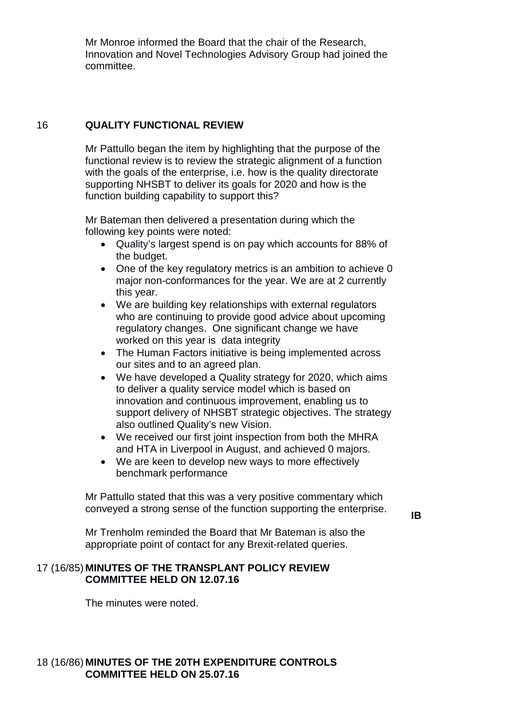Mr Monroe informed the Board that the chair of the Research, Innovation and Novel Technologies Advisory Group had joined the committee.

## 16 **QUALITY FUNCTIONAL REVIEW**

Mr Pattullo began the item by highlighting that the purpose of the functional review is to review the strategic alignment of a function with the goals of the enterprise, *i.e.* how is the quality directorate supporting NHSBT to deliver its goals for 2020 and how is the function building capability to support this?

Mr Bateman then delivered a presentation during which the following key points were noted:

- Quality's largest spend is on pay which accounts for 88% of the budget.
- One of the key regulatory metrics is an ambition to achieve 0 major non-conformances for the year. We are at 2 currently this year.
- We are building key relationships with external regulators who are continuing to provide good advice about upcoming regulatory changes. One significant change we have worked on this year is data integrity
- The Human Factors initiative is being implemented across our sites and to an agreed plan.
- We have developed a Quality strategy for 2020, which aims to deliver a quality service model which is based on innovation and continuous improvement, enabling us to support delivery of NHSBT strategic objectives. The strategy also outlined Quality's new Vision.
- We received our first joint inspection from both the MHRA and HTA in Liverpool in August, and achieved 0 majors.
- We are keen to develop new ways to more effectively benchmark performance

Mr Pattullo stated that this was a very positive commentary which conveyed a strong sense of the function supporting the enterprise.

 **IB**

Mr Trenholm reminded the Board that Mr Bateman is also the appropriate point of contact for any Brexit-related queries.

## 17 (16/85) **MINUTES OF THE TRANSPLANT POLICY REVIEW COMMITTEE HELD ON 12.07.16**

The minutes were noted.

# 18 (16/86) **MINUTES OF THE 20TH EXPENDITURE CONTROLS COMMITTEE HELD ON 25.07.16**